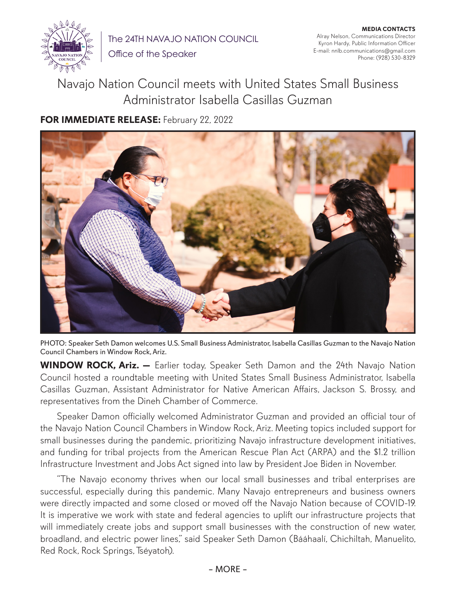

The 24TH NAVAJO NATION COUNCIL

Office of the Speaker

**MEDIA CONTACTS** Alray Nelson, Communications Director Kyron Hardy, Public Information Officer E-mail: nnlb.communications@gmail.com Phone: (928) 530-8329

Navajo Nation Council meets with United States Small Business Administrator Isabella Casillas Guzman

**FOR IMMEDIATE RELEASE:** February 22, 2022



PHOTO: Speaker Seth Damon welcomes U.S. Small Business Administrator, Isabella Casillas Guzman to the Navajo Nation Council Chambers in Window Rock, Ariz.

**WINDOW ROCK, Ariz. —** Earlier today, Speaker Seth Damon and the 24th Navajo Nation Council hosted a roundtable meeting with United States Small Business Administrator, Isabella Casillas Guzman, Assistant Administrator for Native American Affairs, Jackson S. Brossy, and representatives from the Dineh Chamber of Commerce.

Speaker Damon officially welcomed Administrator Guzman and provided an official tour of the Navajo Nation Council Chambers in Window Rock, Ariz. Meeting topics included support for small businesses during the pandemic, prioritizing Navajo infrastructure development initiatives, and funding for tribal projects from the American Rescue Plan Act (ARPA) and the \$1.2 trillion Infrastructure Investment and Jobs Act signed into law by President Joe Biden in November.

"The Navajo economy thrives when our local small businesses and tribal enterprises are successful, especially during this pandemic. Many Navajo entrepreneurs and business owners were directly impacted and some closed or moved off the Navajo Nation because of COVID-19. It is imperative we work with state and federal agencies to uplift our infrastructure projects that will immediately create jobs and support small businesses with the construction of new water, broadland, and electric power lines," said Speaker Seth Damon (Bááhaalí, Chichiltah, Manuelito, Red Rock, Rock Springs, Tséyatoh).